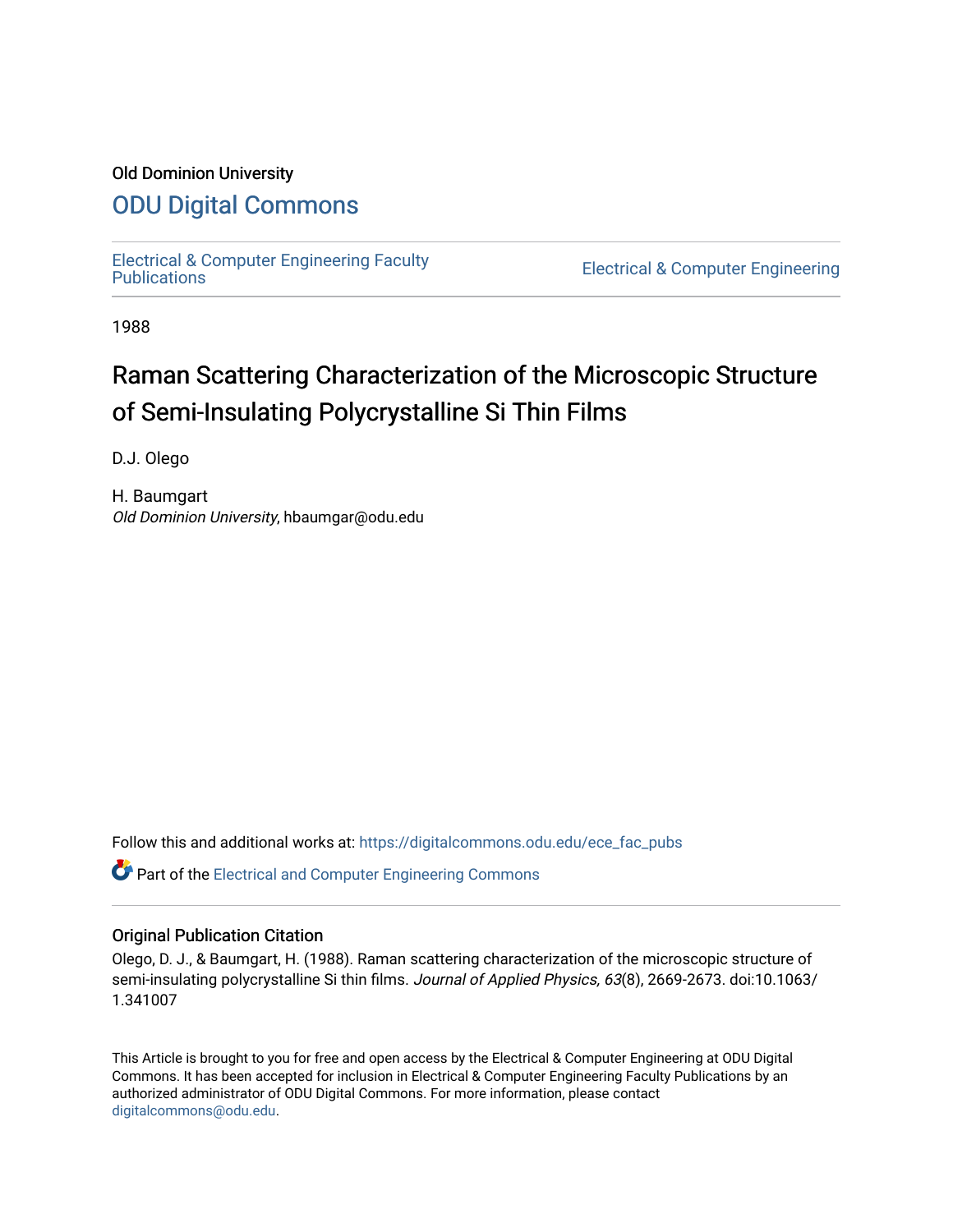### Old Dominion University

## [ODU Digital Commons](https://digitalcommons.odu.edu/)

[Electrical & Computer Engineering Faculty](https://digitalcommons.odu.edu/ece_fac_pubs) 

**Electrical & Computer Engineering** 

1988

# Raman Scattering Characterization of the Microscopic Structure of Semi-Insulating Polycrystalline Si Thin Films

D.J. Olego

H. Baumgart Old Dominion University, hbaumgar@odu.edu

Follow this and additional works at: [https://digitalcommons.odu.edu/ece\\_fac\\_pubs](https://digitalcommons.odu.edu/ece_fac_pubs?utm_source=digitalcommons.odu.edu%2Fece_fac_pubs%2F239&utm_medium=PDF&utm_campaign=PDFCoverPages) 

Part of the [Electrical and Computer Engineering Commons](http://network.bepress.com/hgg/discipline/266?utm_source=digitalcommons.odu.edu%2Fece_fac_pubs%2F239&utm_medium=PDF&utm_campaign=PDFCoverPages) 

#### Original Publication Citation

Olego, D. J., & Baumgart, H. (1988). Raman scattering characterization of the microscopic structure of semi-insulating polycrystalline Si thin films. Journal of Applied Physics, 63(8), 2669-2673. doi:10.1063/ 1.341007

This Article is brought to you for free and open access by the Electrical & Computer Engineering at ODU Digital Commons. It has been accepted for inclusion in Electrical & Computer Engineering Faculty Publications by an authorized administrator of ODU Digital Commons. For more information, please contact [digitalcommons@odu.edu](mailto:digitalcommons@odu.edu).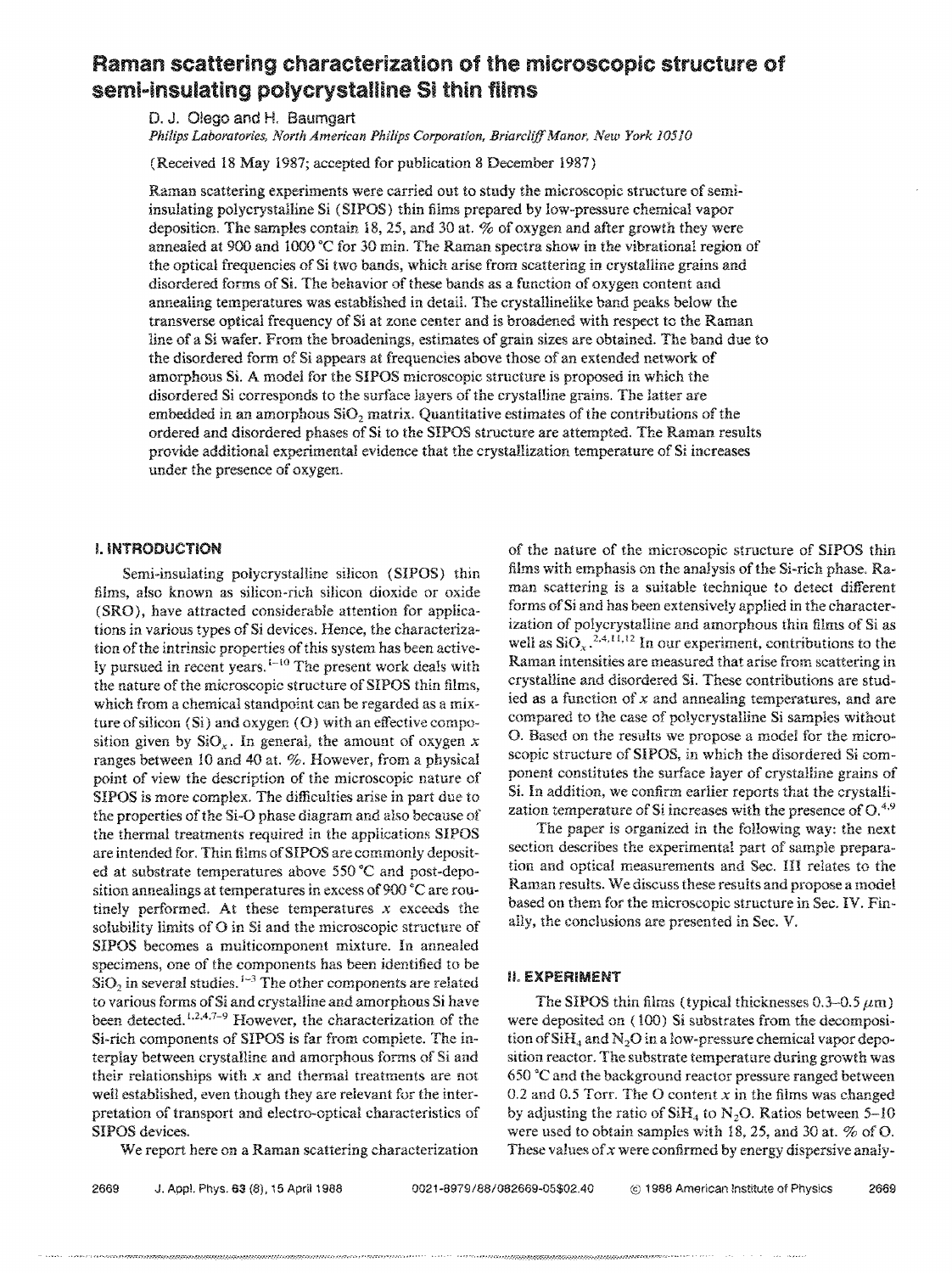## Raman scattering characterization of the microscopic structure of semi-insulating polycrystalline Si thin films

D. J. O!ego and H. Baumgart

*Philips Laboratories, North American Philips Corporation, Briarclifj'Manor, New York 10510* 

(Received 18 May 1987; accepted for publication 8 December 1987)

Raman scattering experiments were carried out to study the microscopic structure of semiinsulating polycrystalline Si (SIPOS) thin films prepared by low-pressure chemical vapor deposition. The samples contain 18, 25, and 30 at. % of oxygen and after growth they were annealed at 900 and 1000 °C for 30 min. The Raman spectra show in the vibrational region of the optical frequencies of Si two bands, which arise from scattering in crystalline grains and disordered forms of Si. The behavior of these bands as a function of oxygen content and annealing temperatures was established in detail. The crystallinelike band peaks below the transverse optical frequency of Si at zone center and is broadened with respect tc the Raman line of a Si wafer. From the broadenings, estimates of grain sizes are obtained. The band due to the disordered form of Si appears at frequencies above those of an extended network of amorphous Si. A model for the SIPOS microscopic structure is proposed in which the disordered Si corresponds to the surface layers of the crystalline grains. The latter are embedded in an amorphous  $SiO<sub>2</sub>$  matrix. Quantitative estimates of the contributions of the ordered and disordered phases of **Si** to the SIPOS structure are attempted. The Raman results provide additional experimental evidence that the crystallization temperature of Si increases under the presence of oxygen.

#### I. **INTRODUCTION**

Semi-insulating polycrystalline silicon (SIPOS) thin films, also known as silicon-rich silicon dioxide or oxide (SRO), have attracted considerable attention for applications in various types of Si devices. Hence, the characterization of the intrinsic properties of this system has been active-Iv pursued in recent years.  $1-10$  The present work deals with the nature of the microscopic structure of SIPOS thin films, which from a chemical standpoint can be regarded as a mixture of silicon (Si) and oxygen (0) with an effective composition given by  $SiO_x$ . In general, the amount of oxygen x ranges between 10 and 40 at. %. However, from a physical point of view the description of the microscopic nature of SIPOS is more complex. The difficulties arise in part due to the properties of the Si-O phase diagram and also because of the thermal treatments required in the applications SIPOS are intended for. Thin films of SIPOS are commonly deposited at substrate temperatures above 550 °C and post-deposition annealings at temperatures in excess of 900 °C are routinely performed. At these temperatures  $x$  exceeds the solubility limits of O in Si and the microscopic structure of SIPOS becomes a multicomponent mixture. In annealed specimens, one of the components has been identified to be  $SiO<sub>2</sub>$  in several studies.  $1-3$  The other components are related to various forms ofSi and crystalline and amorphous Si have been detected.<sup>1,2,4,7-9</sup> However, the characterization of the Si-rich components of SIPOS is far from complete. The interplay between crystalline and amorphous forms of Si and their relationships with  $x$  and thermal treatments are not well established, even though they are relevant for the interpretation of transport and electro-optical characteristics of SIPOS devices.

We report here on a Raman scattering characterization

of the nature of the microscopic strncture of SIPOS thin films with emphasis on the analysis of the Si-rich phase. Raman scattering is a suitable technique *to* detect different forms of Si and has been extensively applied in the characterization of polycrystalline and amorphous thin films of Si as well as  $SiO_x$ <sup>2,4,11,12</sup> In our experiment, contributions to the Raman intensities are measured that arise from scattering in crystalline and disordered Si. These contributions are studied as a function of  $x$  and annealing temperatures, and are compared to the case of polycrystalline Si samples without 0. Based on the results we propose a model for the microscopic structure of SIPOS, in which the disordered Si component constitutes the surface layer of crystaHine grains of Si. In addition, we confirm earlier reports that the crystallization temperature of Si increases with the presence of  $O^{4,9}$ 

The paper is organized in the following way: the next section describes the experimental part of sample preparation and optical measurements and Sec. III relates to the Raman results. We discuss these results and propose a model based on them for the microscopic structure in Sec. IV. Finally, the conclusions are presented in Sec. V.

#### **IL EXPERIMENT**

The SIPOS thin films (typical thicknesses  $0.3-0.5 \mu m$ ) were deposited on ( 100) Si substrates from the decomposition of  $SiH<sub>4</sub>$  and N<sub>2</sub>O in a low-pressure chemical vapor deposition reactor. The substrate temperature during growth was 650 °C and the background reactor pressure ranged between 0.2 and 0.5 Torr. The O content  $x$  in the films was changed by adjusting the ratio of  $SiH<sub>4</sub>$  to N<sub>2</sub>O. Ratios between 5-10 were used to obtain samples with 18, 25, and 30 at. % of 0. These values of  $x$  were confirmed by energy dispersive analy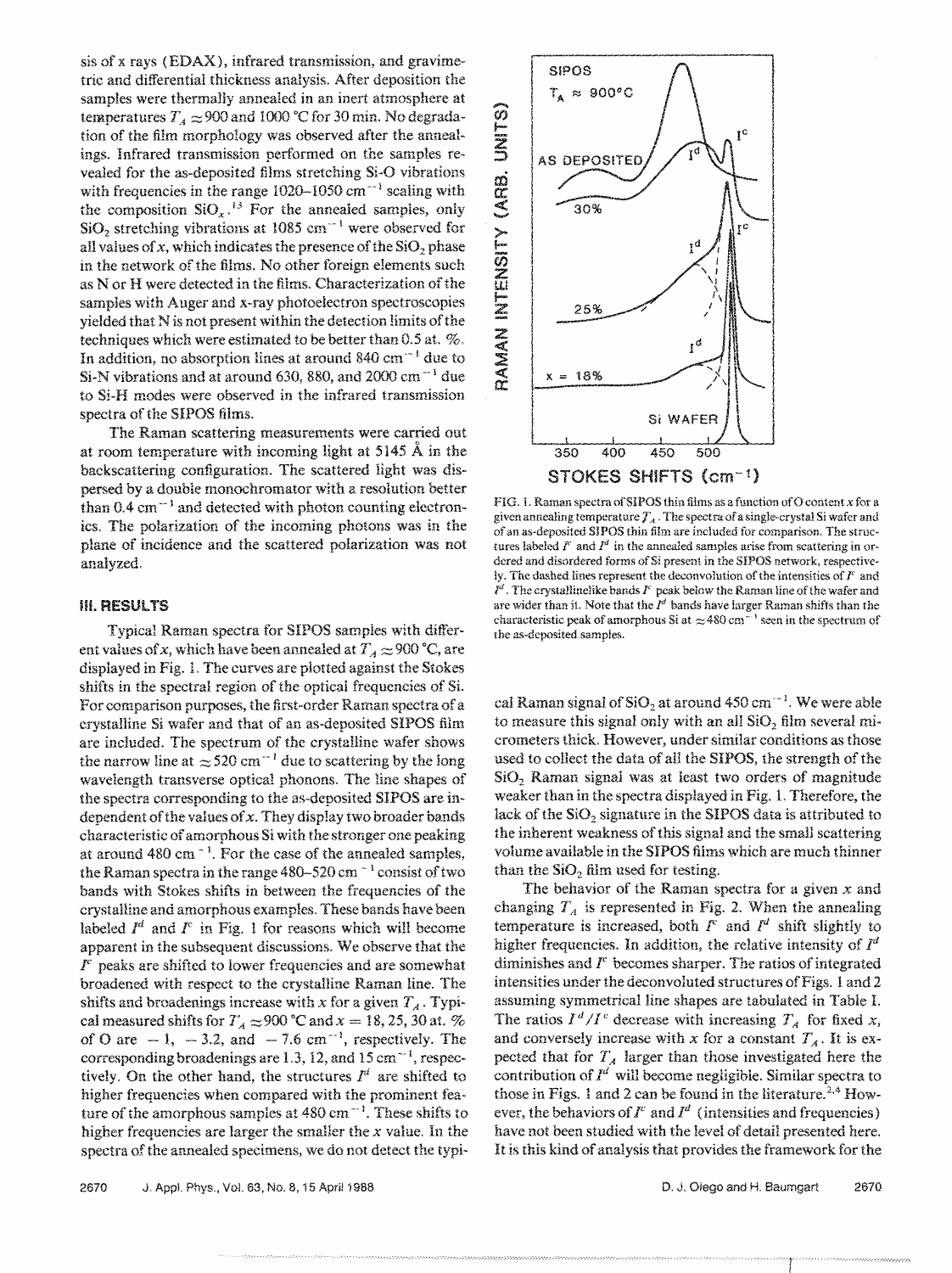sis of x rays ( EDAX), infrared transmission, and gravimetric and differential thickness analysis. After deposition the samples were thermally annealed in an inert atmosphere at temperatures  $T_A \approx 900$  and 1000 °C for 30 min. No degradation of the film morphology was observed after the annealings. Infrared transmission performed on the samples revealed for the as-deposited films stretching **Si-0** vibrations with frequencies in the range 1020-1050 cm<sup>-1</sup> scaling with the composition  $SiO_x$ .<sup>13</sup> For the annealed samples, only SiO<sub>2</sub> stretching vibrations at 1085 cm<sup>--1</sup> were observed for all values of x, which indicates the presence of the  $SiO<sub>2</sub>$  phase in the network of the films. No other foreign elements such as **N** or **H** were detected in the films. Characterization of the samples with Auger and x-ray photoelectron spectroscopies yielded that N is not present within the detection limits of the techniques which were estimated to be better than 0.5 at. %. In addition, no absorption lines at around 840 cm<sup> $-1$ </sup> due to Si-N vibrations and at around 630, 880, and 2000 cm<sup> $-1$ </sup> due to Si-H modes were observed in the infrared transmission spectra of the SIPOS films.

The Raman scattering measurements were carried out at room temperature with incoming light at 5145 A in the backscattering configuration. The scattered light was dispersed by a double monochromator with a resolution better than  $0.4 \text{ cm}^{-1}$  and detected with photon counting electronics. The polarization of the incoming photons was in the plane of incidence and the scattered polarization was not analyzed,

#### **Ill.RESULTS**

Typical Raman spectra for SIPOS samples with different values of x, which have been annealed at  $T_A \approx 900 \degree C$ , are displayed in Fig. l, The curves are plotted against the Stokes shifts in the spectral region of the optical frequencies of Si. For comparison purposes, the first-order Raman spectra of a crystalline Si wafer and that of an as-deposited SIPOS film are included. The spectrum of the crystalline wafer shows the narrow line at  $\approx 520$  cm<sup>--1</sup> due to scattering by the long wavelength transverse optica! phonons. The line shapes of the spectra corresponding to the as-deposited SIPOS are independent of the values of x. They display two broader bands characteristic of amorphous Si with the stronger one peaking at around 480 cm<sup> $-1$ </sup>. For the case of the annealed samples, the Raman spectra in the range 480-520 cm - 1 consist of two bands with Stokes shifts in between the frequencies of the crystalline and amorphous examples. These bands have been labeled  $I^d$  and  $I^c$  in Fig. 1 for reasons which will become apparent in the subsequent discussions. We observe that the  $I<sup>c</sup>$  peaks are shifted to lower frequencies and are somewhat broadened with respect to the crystalline Raman line. The shifts and broadenings increase with x for a given  $T_A$ . Typical measured shifts for  $T_A \approx 900$  °C and  $x = 18, 25, 30$  at. % of O are  $-1$ ,  $-3.2$ , and  $-7.6$  cm<sup>-1</sup>, respectively. The corresponding broadenings are 1.3, 12, and 15 cm<sup> $-1$ </sup>, respectively. On the other hand, the structures  $I^d$  are shifted to higher frequencies when compared with the prominent feature of the amorphous samples at  $480 \text{ cm}^{-1}$ . These shifts to higher frequencies are larger the smaller the *x* value. In the spectra of the annealed specimens, we do not detect the typi-



FIG. 1. Raman spectra of SIPOS thin films as a function of O content  $x$  for a given annealing temperature  $T_A$ . The spectra of a single-crystal Si wafer and of an as-deposited SIPOS thin film are included for comparison. The structures labeled  $I^c$  and  $I^d$  in the annealed samples arise from scattering in ordered and disordered forms of Si present in the SIPOS network, respectively. The dashed lines represent the deconvolution of the intensities of  $I<sup>c</sup>$  and  $l^d$ . The crystallinelike bands  $l^c$  peak below the Raman line of the wafer and are wider than it. Note that the  $I^d$  bands have larger Raman shifts than the characteristic peak of amorphous Si at  $\approx$  480 cm<sup>-1</sup> seen in the spectrum of the as-deposited samples.

cal Raman signal of SiO<sub>2</sub> at around 450 cm<sup> $-1$ </sup>. We were able to measure this signal only with an all SiO<sub>2</sub> film several micrometers thick. However, under similar conditions as those used to collect the data of all the SIPOS, the strength of the SiO<sub>2</sub> Raman signal was at least two orders of magnitude weaker than in the spectra displayed in Fig. 1. Therefore, the lack of the  $SiO<sub>2</sub>$  signature in the SIPOS data is attributed to the inherent weakness of this signal and the small scattering volume available in the SIPOS films which are much thinner than the  $SiO<sub>2</sub>$  film used for testing.

The behavior of the Raman spectra for a given  $x$  and changing  $T_A$  is represented in Fig. 2. When the annealing temperature is increased, both  $I<sup>c</sup>$  and  $I<sup>d</sup>$  shift slightly to higher frequencies. In addition, the relative intensity of  $I<sup>d</sup>$ diminishes and  $I<sup>c</sup>$  becomes sharper. The ratios of integrated intensities under the deconvoluted structures of Figs. 1 and 2 assuming symmetrical line shapes are tabulated in Table I. The ratios  $I^d/I^c$  decrease with increasing  $T_A$  for fixed x, and conversely increase with x for a constant  $T_A$ . It is expected that for  $T_A$  larger than those investigated here the contribution of *Jd* will become negligible. Similar spectra to those in Figs. 1 and 2 can be found in the literature.<sup>2,4</sup> However, the behaviors of  $I^c$  and  $I^d$  (intensities and frequencies) have not been studied with the level of detail presented here. It is this kind of analysis that provides the framework for the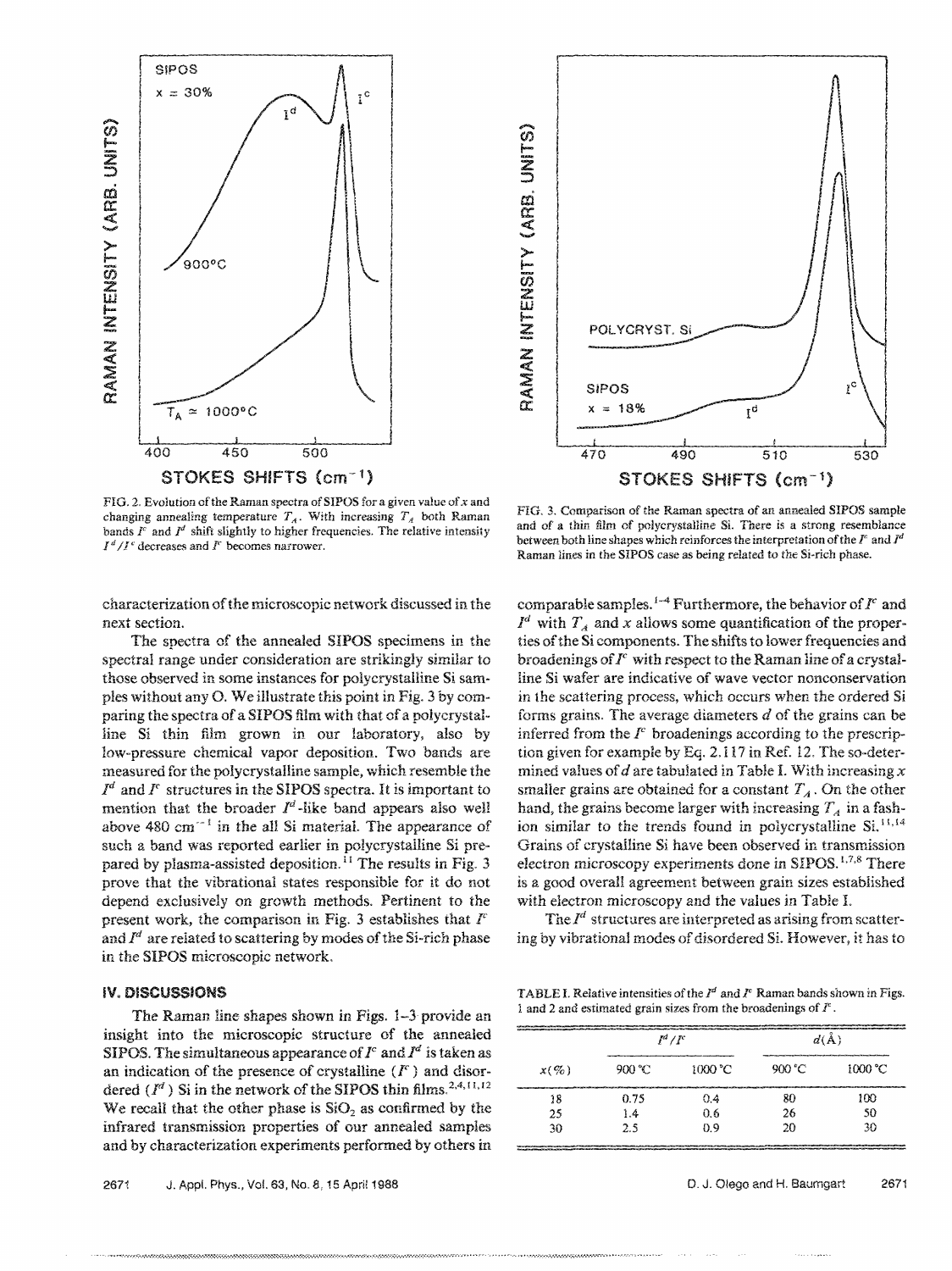

FIG. 2. Evolution of the Raman spectra of SIPOS for a given value of  $x$  and changing annealing temperature  $T_A$ . With increasing  $T_A$  both Raman bands  $I^c$  and  $I^d$  shift slightly to higher frequencies. The relative intensity  $I^d/I^c$  decreases and  $I^c$  becomes narrower.

characterization of the microscopic network discussed in the next section.

The spectra of the annealed SIPOS specimens in the spectral range under consideration are strikingly similar to those observed in some instances for polycrystalline Si samples without any 0. We illustrate this point in Fig. 3 by comparing the spectra of a SIPOS film with that of a polycrystalline Si thin film grown in our laboratory, also by low-pressure chemical vapor deposition. Two bands are measured for the polycrystalline sample, which resemble the *Jd* and *r* structures in the SIPOS spectra. It is important to mention that the broader  $I^d$ -like band appears also well above 480 cm<sup> $-1$ </sup> in the all Si material. The appearance of such a band was reported earlier in polycrystalline Si prepared by plasma-assisted deposition.<sup>11</sup> The results in Fig. 3 prove that the vibrational states responsible for it do not depend exclusively on growth methods. Pertinent to the present work, the comparison in Fig. 3 establishes that  $I<sup>c</sup>$ and  $I^d$  are related to scattering by modes of the Si-rich phase in the **SIPOS** microscopic network.

#### **IV. DISCUSSIONS**

The Raman line shapes shown in Figs. 1-3 provide an insight into the microscopic structure of the annealed SIPOS. The simultaneous appearance of  $I<sup>c</sup>$  and  $I<sup>d</sup>$  is taken as an indication of the presence of crystalline  $(F)$  and disordered  $(I^d)$  Si in the network of the SIPOS thin films.<sup>2,4,11,12</sup> We recall that the other phase is  $SiO<sub>2</sub>$  as confirmed by the infrared transmission properties of our annealed samples and by characterization experiments performed by others in



FIG. 3. Comparison of the Raman spectra of an annealed SIPOS sample and of a thin film of polycrystalline Si. There is a strong resemblance between both line shapes which reinforces the interpretation ofthe *l'* and *Id*  Raman lines in the SIPOS case as being related to the Si-rich phase.

comparable samples.<sup>1-4</sup> Furthermore, the behavior of  $I<sup>c</sup>$  and  $I^d$  with  $T_A$  and x allows some quantification of the properties of the Si components. The shifts to lower frequencies and broadenings of  $I<sup>c</sup>$  with respect to the Raman line of a crystalline Si wafer are indicative of wave vector nonconservation in the scattering process, which occurs when the ordered Si forms grains. The average diameters  $d$  of the grains can be inferred from the  *broadenings according to the prescrip*tion given for example by Eq. 2.117 in Ref. 12. The so-determined values of d are tabulated in Table I. With increasing  $x$ smaller grains are obtained for a constant  $T_A$ . On the other hand, the grains become larger with increasing  $T_A$  in a fashion similar to the trends found in polycrystalline Si.<sup>11,14</sup> Grains of crystalline Si have been observed in transmission electron microscopy experiments done in SIPOS.<sup>1,7,8</sup> There is a good overall agreement between grain sizes established with electron microscopy and the values in Table I.

The *Id* structures are interpreted as arising from scattering by vibrational modes of disordered Si. However, it has to

TABLE I. Relative intensities of the  $I^d$  and  $I^c$  Raman bands shown in Figs. 1 and 2 and estimated grain sizes from the broadenings of *I'* .

| gate police and constituent for a firm of the police of the state of the state of the state<br>$x(\%)$ | $I^d/I^c$     |                                                                                                                                                                                                                                     | $d(\AA)$ |                                                                                                                                                                                                                                           |
|--------------------------------------------------------------------------------------------------------|---------------|-------------------------------------------------------------------------------------------------------------------------------------------------------------------------------------------------------------------------------------|----------|-------------------------------------------------------------------------------------------------------------------------------------------------------------------------------------------------------------------------------------------|
|                                                                                                        | $900^{\circ}$ | 1000 °C                                                                                                                                                                                                                             | 900 °C   | and the support of the second book of the second control of the second control of the second control of the second control of the second control of the second control of the second control of the second control of the seco<br>1000 °C |
| 18                                                                                                     | 0.75          | respondent to the contract of the contract of the contract of the contract of the contract of the contract of the contract of the contract of the contract of the contract of the contract of the contract of the contract of<br>04 | 80       | 100                                                                                                                                                                                                                                       |
| 25                                                                                                     | 1.4           | 0.6                                                                                                                                                                                                                                 | 26       | 50                                                                                                                                                                                                                                        |
| 30                                                                                                     | 2.5           | D 9                                                                                                                                                                                                                                 | 20       | 30                                                                                                                                                                                                                                        |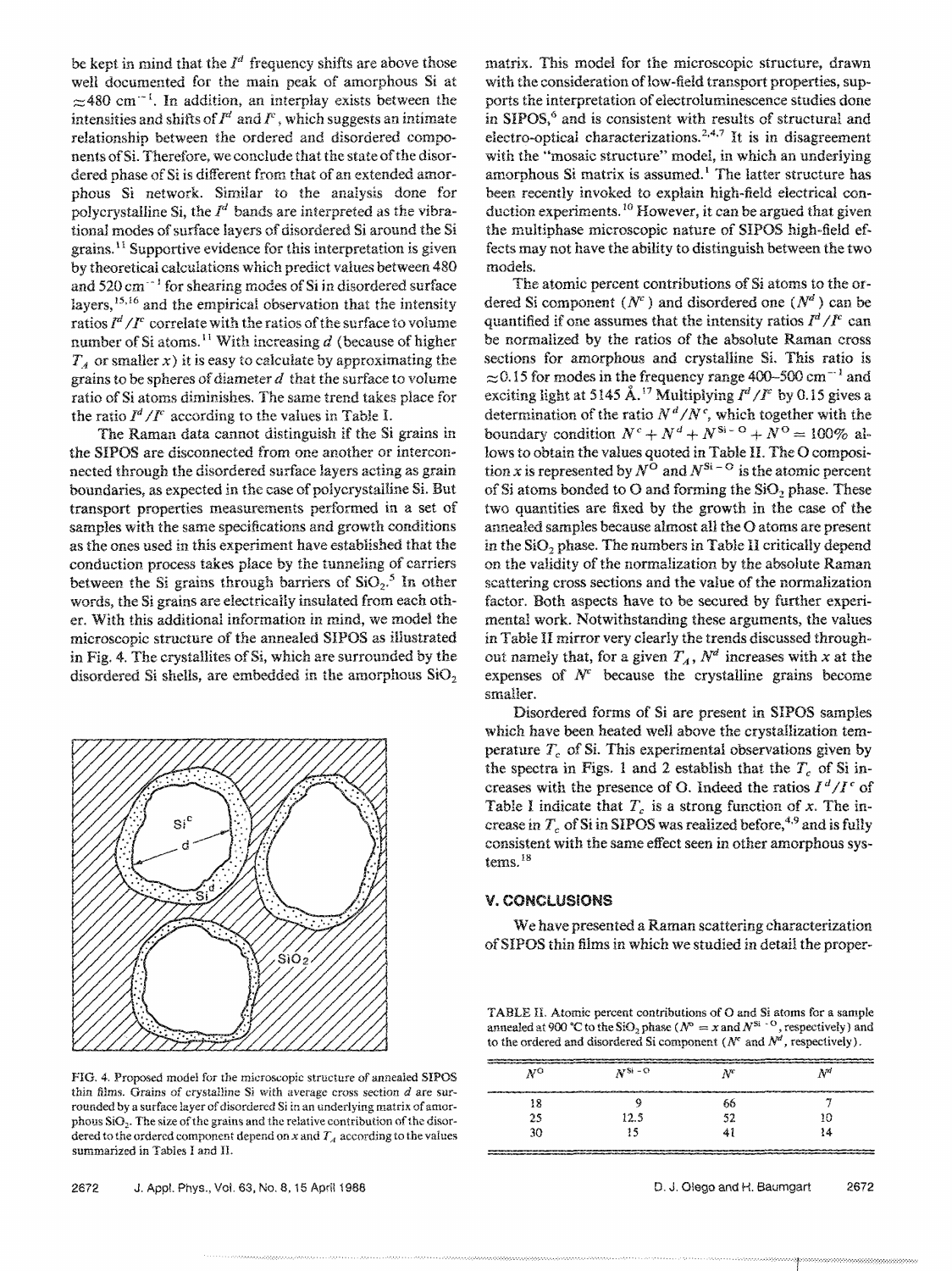be kept in mind that the  $I^d$  frequency shifts are above those well documented for the main peak of amorphous Si at  $\approx$ 480 cm<sup>-1</sup>. In addition, an interplay exists between the intensities and shifts of  $I^d$  and  $I^c$ , which suggests an intimate relationship between the ordered and disordered components of Si. Therefore, we conclude that the state of the disordered phase of Si is different from that of an extended amorphous Si network. Similar to the analysis done for polycrystalline Si, the  $I^d$  bands are interpreted as the vibrational modes of surface layers of disordered Si around the Si grains. 11 Supportive evidence for this interpretation is given by theoretical calculations which predict values between 480 and 520 cm<sup>--1</sup> for shearing modes of Si in disordered surface layers,  $15,16$  and the empirical observation that the intensity ratios  $I^d/I^c$  correlate with the ratios of the surface to volume number of Si atoms.<sup>11</sup> With increasing  $d$  (because of higher  $T_A$  or smaller x) it is easy to calculate by approximating the grains to be spheres of diameter  $d$  that the surface to volume ratio of Si atoms diminishes. The same trend takes place for the ratio  $I^d/I^c$  according to the values in Table I.

The Raman data cannot distinguish if the Si grains in the SIPOS are disconnected from one another or interconnected through the disordered surface layers acting as grain boundaries, as expected in the case of polycrystalline Si. But transport properties measurements performed in a set of samples with the same specifications and growth conditions as the ones used in this experiment have established that the conduction process takes place by the tunneling of carriers between the Si grains through barriers of  $SiO_2$ <sup>5</sup> In other words, the Si grains are electrically insulated from each other. With this additional information in mind, we model the microscopic structure of the annealed SIPOS as illustrated in Fig. 4. The crystallites of Si, which are surrounded by the disordered Si shells, are embedded in the amorphous  $SiO<sub>2</sub>$ 



FIG. 4. Proposed model for the microscopic structure of annealed SIPOS thin films. Grains of crystalline Si with average cross section  $d$  are surrounded by a surface layer of disordered Si in an underlying matrix of amorphous  $SiO<sub>2</sub>$ . The size of the grains and the relative contribution of the disordered to the ordered component depend on x and  $T_A$  according to the values summarized in Tables I and II.

matrix. This model for the microscopic structure, drawn with the consideration of low-field transport properties, supports the interpretation of electroluminescence studies done in SIPOS,<sup>6</sup> and is consistent with results of structural and electro-optical characterizations.<sup>2,4,7</sup> It is in disagreement with the "mosaic structure" model, in which an underlying amorphous Si matrix is assumed.<sup>1</sup> The latter structure has been recently invoked to explain high-field electrical conduction experiments.<sup>10</sup> However, it can be argued that given the multiphase microscopic nature of SIPOS high-field effects may not have the ability to distinguish between the two models.

The atomic percent contributions of Si atoms to the ordered Si component  $(N^c)$  and disordered one  $(N^d)$  can be quantified if one assumes that the intensity ratios  $I^d/I^c$  can be normalized by the ratios of the absolute Raman cross sections for amorphous and crystalline Si. This ratio is  $\approx$  0.15 for modes in the frequency range 400-500 cm<sup>-1</sup> and exciting light at 5145 Å.<sup>17</sup> Multiplying  $I^d/I^c$  by 0.15 gives a determination of the ratio  $N^d/N^c$ , which together with the boundary condition  $N^c + N^d + N^{S_i - 0} + N^0 = 100\%$  allows to obtain the values quoted in Table II. The O composition *x* is represented by  $N^{\mathbf{O}}$  and  $N^{\mathbf{Si}-\mathbf{O}}$  is the atomic percent of Si atoms bonded to O and forming the  $SiO<sub>2</sub>$  phase. These two quantities are fixed by the growth in the case of the annealed samples because almost all the O atoms are present in the SiO<sub>2</sub> phase. The numbers in Table II critically depend on the validity of the normalization by the absolute Raman scattering cross sections and the value of the normalization factor. Both aspects have to be secured by further experimental work. Notwithstanding these arguments, the values in Table II mirror very clearly the trends discussed throughout namely that, for a given  $T_A$ ,  $N^d$  increases with *x* at the expenses of  $N<sup>c</sup>$  because the crystalline grains become smaller.

Disordered forms of Si are present in SIPOS samples which have been heated well above the crystallization temperature  $T_c$  of Si. This experimental observations given by the spectra in Figs. 1 and 2 establish that the  $T_c$  of Si increases with the presence of O. Indeed the ratios  $I^d/I^c$  of Table I indicate that  $T_c$  is a strong function of  $x$ . The increase in  $T_c$  of Si in SIPOS was realized before,<sup>4,9</sup> and is fully consistent with the same effect seen in other amorphous systems.<sup>18</sup>

#### **V. CONCLUSIONS**

We have presented a Raman scattering characterization of SIPOS thin films in which we studied in detail the proper-

TABLE II. Atomic percent contributions of O and Si atoms for a sample annealed at 900 °C to the SiO<sub>2</sub> phase ( $N^{\circ} = x$  and  $N^{\text{Si} \to \text{O}}$ , respectively) and to the ordered and disordered Si component ( $N^c$  and  $N^d$ , respectively).

| now the development to be a company of the full of the full of the second of the second of the second of the second of the fundament of the fundament of the full of the full of the full of the full of the full of the full<br>commitment with the control of the commitment of the control of the control of |            |       |    |  |  |
|-----------------------------------------------------------------------------------------------------------------------------------------------------------------------------------------------------------------------------------------------------------------------------------------------------------------|------------|-------|----|--|--|
| NΟ                                                                                                                                                                                                                                                                                                              | $N^{Si-O}$ | $N^c$ | ĄМ |  |  |
| 18                                                                                                                                                                                                                                                                                                              |            |       |    |  |  |
|                                                                                                                                                                                                                                                                                                                 |            | 66    |    |  |  |
| 25                                                                                                                                                                                                                                                                                                              | 12.5       |       | 10 |  |  |
| 30                                                                                                                                                                                                                                                                                                              |            | A.    | 14 |  |  |